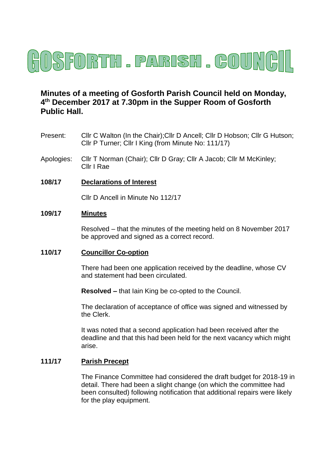

# **Minutes of a meeting of Gosforth Parish Council held on Monday, 4 th December 2017 at 7.30pm in the Supper Room of Gosforth Public Hall.**

- Present: Cllr C Walton (In the Chair);Cllr D Ancell; Cllr D Hobson; Cllr G Hutson; Cllr P Turner; Cllr I King (from Minute No: 111/17)
- Apologies: Cllr T Norman (Chair); Cllr D Gray; Cllr A Jacob; Cllr M McKinley; Cllr I Rae

#### **108/17 Declarations of Interest**

Cllr D Ancell in Minute No 112/17

### **109/17 Minutes**

Resolved – that the minutes of the meeting held on 8 November 2017 be approved and signed as a correct record.

#### **110/17 Councillor Co-option**

There had been one application received by the deadline, whose CV and statement had been circulated.

**Resolved –** that Iain King be co-opted to the Council.

The declaration of acceptance of office was signed and witnessed by the Clerk.

It was noted that a second application had been received after the deadline and that this had been held for the next vacancy which might arise.

#### **111/17 Parish Precept**

The Finance Committee had considered the draft budget for 2018-19 in detail. There had been a slight change (on which the committee had been consulted) following notification that additional repairs were likely for the play equipment.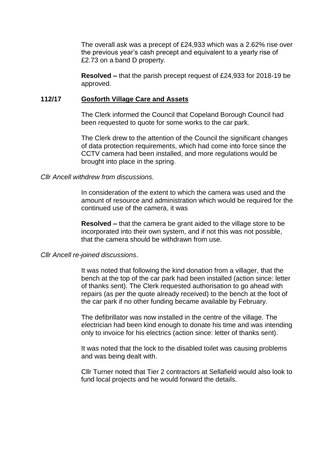The overall ask was a precept of £24,933 which was a 2.62% rise over the previous year's cash precept and equivalent to a yearly rise of £2.73 on a band D property.

**Resolved –** that the parish precept request of £24,933 for 2018-19 be approved.

#### **112/17 Gosforth Village Care and Assets**

The Clerk informed the Council that Copeland Borough Council had been requested to quote for some works to the car park.

The Clerk drew to the attention of the Council the significant changes of data protection requirements, which had come into force since the CCTV camera had been installed, and more regulations would be brought into place in the spring.

#### *Cllr Ancell withdrew from discussions.*

In consideration of the extent to which the camera was used and the amount of resource and administration which would be required for the continued use of the camera, it was

**Resolved –** that the camera be grant aided to the village store to be incorporated into their own system, and if not this was not possible, that the camera should be withdrawn from use.

#### *Cllr Ancell re-joined discussions*.

It was noted that following the kind donation from a villager, that the bench at the top of the car park had been installed (action since: letter of thanks sent). The Clerk requested authorisation to go ahead with repairs (as per the quote already received) to the bench at the foot of the car park if no other funding became available by February.

The defibrillator was now installed in the centre of the village. The electrician had been kind enough to donate his time and was intending only to invoice for his electrics (action since: letter of thanks sent).

It was noted that the lock to the disabled toilet was causing problems and was being dealt with.

Cllr Turner noted that Tier 2 contractors at Sellafield would also look to fund local projects and he would forward the details.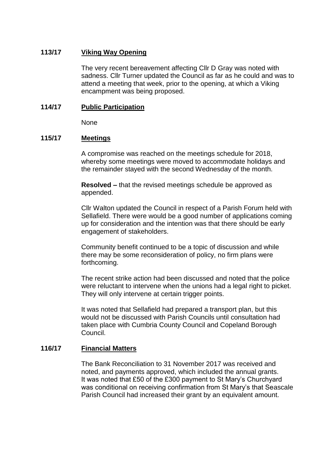### **113/17 Viking Way Opening**

The very recent bereavement affecting Cllr D Gray was noted with sadness. Cllr Turner updated the Council as far as he could and was to attend a meeting that week, prior to the opening, at which a Viking encampment was being proposed.

# **114/17 Public Participation**

None

### **115/17 Meetings**

A compromise was reached on the meetings schedule for 2018, whereby some meetings were moved to accommodate holidays and the remainder stayed with the second Wednesday of the month.

**Resolved –** that the revised meetings schedule be approved as appended.

Cllr Walton updated the Council in respect of a Parish Forum held with Sellafield. There were would be a good number of applications coming up for consideration and the intention was that there should be early engagement of stakeholders.

Community benefit continued to be a topic of discussion and while there may be some reconsideration of policy, no firm plans were forthcoming.

The recent strike action had been discussed and noted that the police were reluctant to intervene when the unions had a legal right to picket. They will only intervene at certain trigger points.

It was noted that Sellafield had prepared a transport plan, but this would not be discussed with Parish Councils until consultation had taken place with Cumbria County Council and Copeland Borough Council.

### **116/17 Financial Matters**

The Bank Reconciliation to 31 November 2017 was received and noted, and payments approved, which included the annual grants. It was noted that £50 of the £300 payment to St Mary's Churchyard was conditional on receiving confirmation from St Mary's that Seascale Parish Council had increased their grant by an equivalent amount.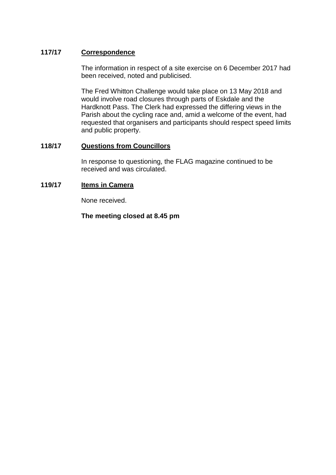# **117/17 Correspondence**

The information in respect of a site exercise on 6 December 2017 had been received, noted and publicised.

The Fred Whitton Challenge would take place on 13 May 2018 and would involve road closures through parts of Eskdale and the Hardknott Pass. The Clerk had expressed the differing views in the Parish about the cycling race and, amid a welcome of the event, had requested that organisers and participants should respect speed limits and public property.

# **118/17 Questions from Councillors**

In response to questioning, the FLAG magazine continued to be received and was circulated.

# **119/17 Items in Camera**

None received.

**The meeting closed at 8.45 pm**